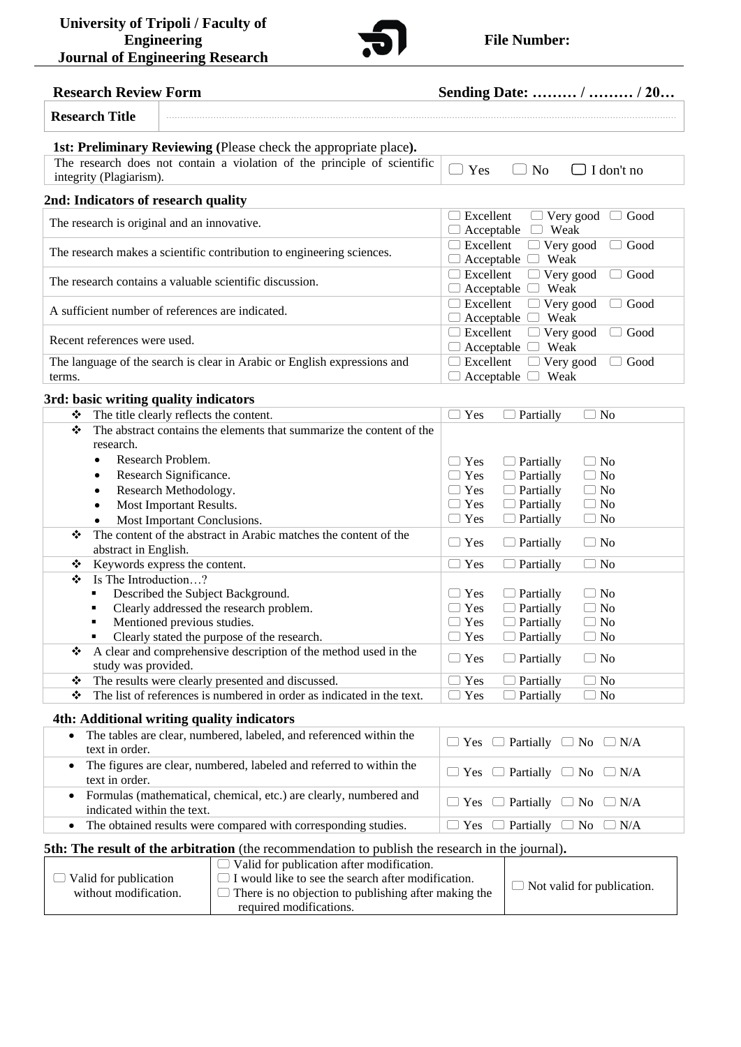

## **Research Review Form Sending Date:** *………* **/ ……… / 20…**

| <b>1st: Preliminary Reviewing (Please check the appropriate place).</b>               |  |  |  |  |  |
|---------------------------------------------------------------------------------------|--|--|--|--|--|
| Yes<br>$\Box$ I don't no<br>No                                                        |  |  |  |  |  |
| 2nd: Indicators of research quality                                                   |  |  |  |  |  |
| Excellent<br>$\Box$ Very good<br>Good<br>Weak<br>Acceptable<br>$\left( \quad \right)$ |  |  |  |  |  |
| Excellent<br>Good<br>$\Box$ Very good<br>Weak<br>Acceptable                           |  |  |  |  |  |
| Excellent<br>$\Box$ Very good<br>Good<br>Weak<br>Acceptable $\Box$                    |  |  |  |  |  |
| Excellent<br>Very good<br>Good<br>◡<br>Weak<br>Acceptable                             |  |  |  |  |  |
| Excellent<br>Good<br>Very good<br>U<br>Weak<br>Acceptable                             |  |  |  |  |  |
| Excellent<br>Very good<br>Good<br>$\Box$                                              |  |  |  |  |  |
| Weak<br>Acceptable                                                                    |  |  |  |  |  |
|                                                                                       |  |  |  |  |  |

**Research Title** ........................................................... .............................................................................................................................

#### **3rd: basic writing quality indicators**

| ❖ | The title clearly reflects the content.                               | Yes           | Partially        | $\overline{N_{0}}$<br>$\Box$ |
|---|-----------------------------------------------------------------------|---------------|------------------|------------------------------|
| ❖ | The abstract contains the elements that summarize the content of the  |               |                  |                              |
|   | research.                                                             |               |                  |                              |
|   | Research Problem.                                                     | Yes           | Partially        | $\Box$ No                    |
|   | Research Significance.<br>٠                                           | Yes           | Partially        | $\Box$ No                    |
|   | Research Methodology.                                                 | Yes           | $\Box$ Partially | $\Box$ No                    |
|   | Most Important Results.<br>$\bullet$                                  | $\Box$ Yes    | $\Box$ Partially | $\Box$ No                    |
|   | Most Important Conclusions.                                           | $\Box$ Yes    | $\Box$ Partially | $\Box$ No                    |
| ❖ | The content of the abstract in Arabic matches the content of the      | $\Box$ Yes    |                  | $\Box$ No                    |
|   | abstract in English.                                                  |               | Partially        |                              |
| ❖ | Keywords express the content.                                         | Yes<br>$\Box$ | Partially        | $\Box$ No                    |
| ❖ | Is The Introduction?                                                  |               |                  |                              |
|   | Described the Subject Background.                                     | Yes<br>$\Box$ | Partially        | $\Box$ No                    |
|   | Clearly addressed the research problem.<br>٠                          | Yes           | Partially        | $\Box$ No                    |
|   | Mentioned previous studies.<br>п                                      | Yes           | $\Box$ Partially | $\Box$ No                    |
|   | Clearly stated the purpose of the research.                           | $\Box$ Yes    | Partially        | $\Box$ No                    |
| ❖ | A clear and comprehensive description of the method used in the       | $\Box$ Yes    | Partially        | $\Box$ No                    |
|   | study was provided.                                                   |               |                  |                              |
| ❖ | The results were clearly presented and discussed.                     | Yes           | Partially        | $\Box$ No                    |
| ❖ | The list of references is numbered in order as indicated in the text. | Yes           | Partially        | $\Box$ No                    |
|   |                                                                       |               |                  |                              |

### **4th: Additional writing quality indicators**

| • The tables are clear, numbered, labeled, and referenced within the<br>text in order.            | $\Box$ Yes $\Box$ Partially $\Box$ No $\Box$ N/A |
|---------------------------------------------------------------------------------------------------|--------------------------------------------------|
| • The figures are clear, numbered, labeled and referred to within the<br>text in order.           | $\Box$ Yes $\Box$ Partially $\Box$ No $\Box$ N/A |
| • Formulas (mathematical, chemical, etc.) are clearly, numbered and<br>indicated within the text. | $\Box$ Yes $\Box$ Partially $\Box$ No $\Box$ N/A |
| • The obtained results were compared with corresponding studies.                                  | $\Box$ Yes $\Box$ Partially $\Box$ No $\Box$ N/A |

#### **5th: The result of the arbitration** (the recommendation to publish the research in the journal)**.**

|                              | $\Box$ Valid for publication after modification.            |                                   |  |
|------------------------------|-------------------------------------------------------------|-----------------------------------|--|
| $\Box$ Valid for publication | $\Box$ I would like to see the search after modification.   | $\Box$ Not valid for publication. |  |
| without modification.        | $\Box$ There is no objection to publishing after making the |                                   |  |
|                              | required modifications.                                     |                                   |  |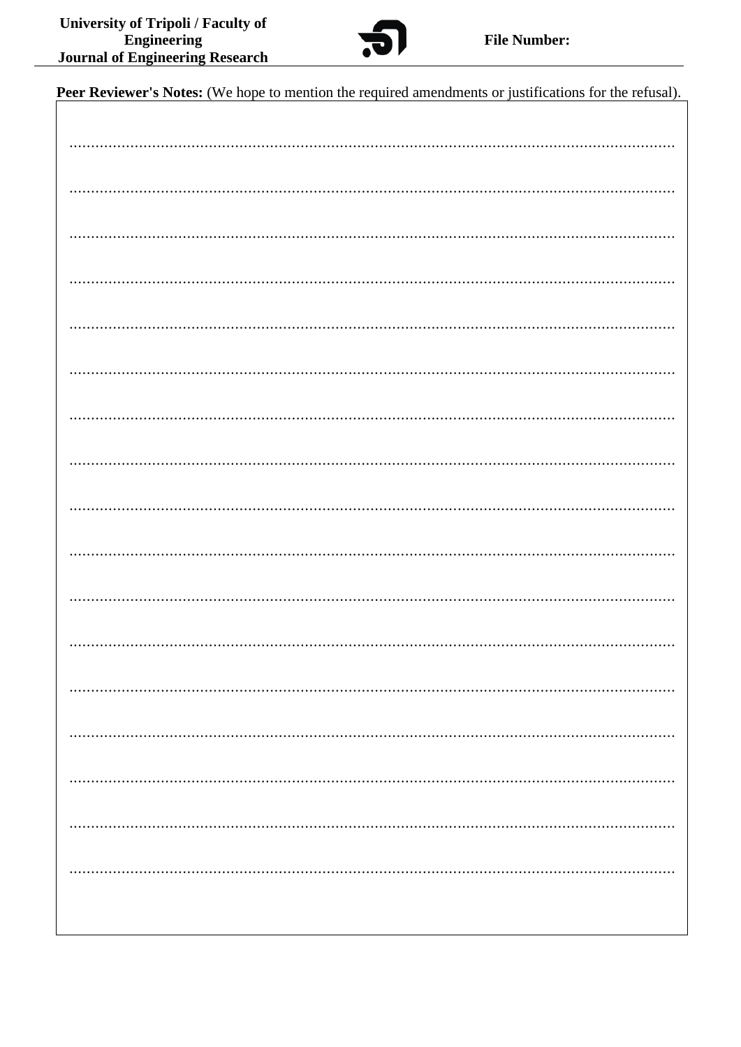

Peer Reviewer's Notes: (We hope to mention the required amendments or justifications for the refusal).